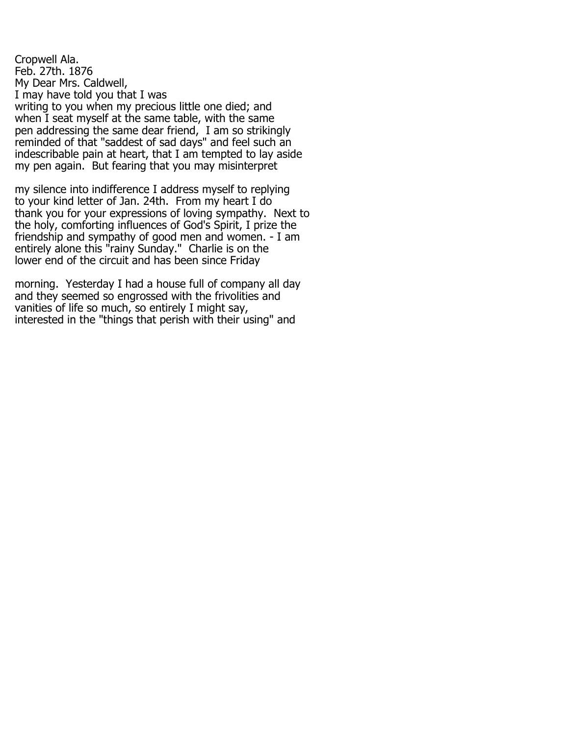Cropwell Ala. Feb. 27th. 1876 My Dear Mrs. Caldwell, I may have told you that I was writing to you when my precious little one died; and when I seat myself at the same table, with the same pen addressing the same dear friend, I am so strikingly reminded of that "saddest of sad days" and feel such an indescribable pain at heart, that I am tempted to lay aside my pen again. But fearing that you may misinterpret

my silence into indifference I address myself to replying to your kind letter of Jan. 24th. From my heart I do thank you for your expressions of loving sympathy. Next to the holy, comforting influences of God's Spirit, I prize the friendship and sympathy of good men and women. - I am entirely alone this "rainy Sunday." Charlie is on the lower end of the circuit and has been since Friday

morning. Yesterday I had a house full of company all day and they seemed so engrossed with the frivolities and vanities of life so much, so entirely I might say, interested in the "things that perish with their using" and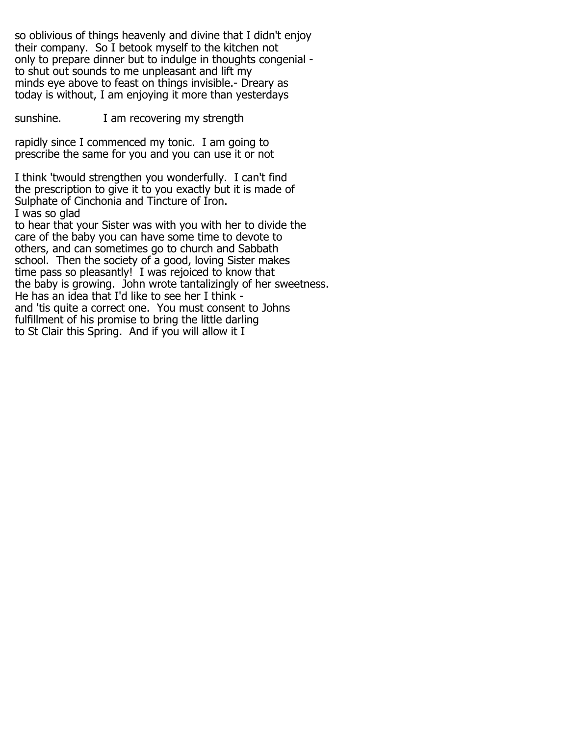so oblivious of things heavenly and divine that I didn't enjoy their company. So I betook myself to the kitchen not only to prepare dinner but to indulge in thoughts congenial to shut out sounds to me unpleasant and lift my minds eye above to feast on things invisible.- Dreary as today is without, I am enjoying it more than yesterdays

sunshine. I am recovering my strength

rapidly since I commenced my tonic. I am going to prescribe the same for you and you can use it or not

I think 'twould strengthen you wonderfully. I can't find the prescription to give it to you exactly but it is made of Sulphate of Cinchonia and Tincture of Iron. I was so glad

to hear that your Sister was with you with her to divide the care of the baby you can have some time to devote to others, and can sometimes go to church and Sabbath school. Then the society of a good, loving Sister makes time pass so pleasantly! I was rejoiced to know that the baby is growing. John wrote tantalizingly of her sweetness. He has an idea that I'd like to see her I think and 'tis quite a correct one. You must consent to Johns fulfillment of his promise to bring the little darling to St Clair this Spring. And if you will allow it I